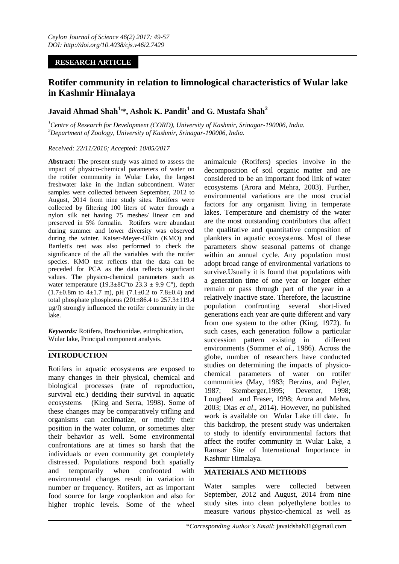# **RESEARCH ARTICLE**

# **Rotifer community in relation to limnological characteristics of Wular lake in Kashmir Himalaya**

# **Javaid Ahmad Shah1, \*, Ashok K. Pandit<sup>1</sup> and G. Mustafa Shah<sup>2</sup>**

*<sup>1</sup>Centre of Research for Development (CORD), University of Kashmir, Srinagar-190006, India. <sup>2</sup>Department of Zoology, University of Kashmir, Srinagar-190006, India.*

### *Received: 22/11/2016; Accepted: 10/05/2017*

**Abstract:** The present study was aimed to assess the impact of physico-chemical parameters of water on the rotifer community in Wular Lake, the largest freshwater lake in the Indian subcontinent. Water samples were collected between September, 2012 to August, 2014 from nine study sites. Rotifers were collected by filtering 100 liters of water through a nylon silk net having 75 meshes/ linear cm and preserved in 5% formalin. Rotifers were abundant during summer and lower diversity was observed during the winter. Kaiser-Meyer-Olkin (KMO) and Bartlett's test was also performed to check the significance of the all the variables with the rotifer species. KMO test reflects that the data can be preceded for PCA as the data reflects significant values. The physico-chemical parameters such as water temperature (19.3±8C°to 23.3 ± 9.9 C°), depth  $(1.7\pm0.8\text{m}$  to 4 $\pm1.7$  m), pH  $(7.1\pm0.2$  to 7.8 $\pm0.4$ ) and total phosphate phosphorus  $(201\pm86.4$  to  $257.3\pm119.4$ µg/l) strongly influenced the rotifer community in the lake.

*Keywords:* Rotifera, Brachionidae, eutrophication, Wular lake, Principal component analysis.

# **INTRODUCTION**

Rotifers in aquatic ecosystems are exposed to many changes in their physical, chemical and biological processes (rate of reproduction, survival etc.) deciding their survival in aquatic ecosystems (King and Serra, 1998). Some of these changes may be comparatively trifling and organisms can acclimatize, or modify their position in the water column, or sometimes alter their behavior as well. Some environmental confrontations are at times so harsh that the individuals or even community get completely distressed. Populations respond both spatially and temporarily when confronted with environmental changes result in variation in number or frequency. Rotifers, act as important food source for large zooplankton and also for higher trophic levels. Some of the wheel

animalcule (Rotifers) species involve in the decomposition of soil organic matter and are considered to be an important food link of water ecosystems (Arora and Mehra, 2003). Further, environmental variations are the most crucial factors for any organism living in temperate lakes. Temperature and chemistry of the water are the most outstanding contributors that affect the qualitative and quantitative composition of plankters in aquatic ecosystems. Most of these parameters show seasonal patterns of change within an annual cycle. Any population must adopt broad range of environmental variations to survive.Usually it is found that populations with a generation time of one year or longer either remain or pass through part of the year in a relatively inactive state. Therefore, the lacustrine population confronting several short-lived generations each year are quite different and vary from one system to the other (King, 1972). In such cases, each generation follow a particular succession pattern existing in different environments (Sommer *et al.,* 1986). Across the globe, number of researchers have conducted studies on determining the impacts of physicochemical parameters of water on rotifer communities (May, 1983; Berzins, and Pejler, 1987; Stemberger,1995; Devetter, 1998; Lougheed and Fraser, 1998; Arora and Mehra, 2003; Dias *et al*., 2014). However, no published work is available on Wular Lake till date. In this backdrop, the present study was undertaken to study to identify environmental factors that affect the rotifer community in Wular Lake, a Ramsar Site of International Importance in Kashmir Himalaya.

## **MATERIALS AND METHODS**

Water samples were collected between September, 2012 and August, 2014 from nine study sites into clean polyethylene bottles to measure various physico-chemical as well as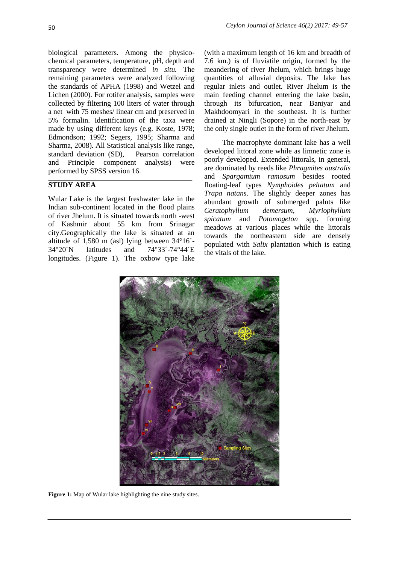biological parameters. Among the physicochemical parameters, temperature, pH, depth and transparency were determined *in situ.* The remaining parameters were analyzed following the standards of APHA (1998) and Wetzel and Lichen (2000). For rotifer analysis, samples were collected by filtering 100 liters of water through a net with 75 meshes/ linear cm and preserved in 5% formalin. Identification of the taxa were made by using different keys (e.g. Koste, 1978; Edmondson; 1992; Segers, 1995; Sharma and Sharma, 2008). All Statistical analysis like range, standard deviation (SD), Pearson correlation and Principle component analysis) were performed by SPSS version 16.

# **STUDY AREA**

Wular Lake is the largest freshwater lake in the Indian sub-continent located in the flood plains of river Jhelum. It is situated towards north -west of Kashmir about 55 km from Srinagar city.Geographically the lake is situated at an altitude of 1,580 m (asl) lying between 34°16´- 34°20´N latitudes and 74°33´-74°44´E longitudes. (Figure 1). The oxbow type lake

(with a maximum length of 16 km and breadth of 7.6 km.) is of fluviatile origin, formed by the meandering of river Jhelum, which brings huge quantities of alluvial deposits. The lake has regular inlets and outlet. River Jhelum is the main feeding channel entering the lake basin, through its bifurcation, near Baniyar and Makhdoomyari in the southeast. It is further drained at Ningli (Sopore) in the north-east by the only single outlet in the form of river Jhelum.

The macrophyte dominant lake has a well developed littoral zone while as limnetic zone is poorly developed. Extended littorals, in general, are dominated by reeds like *Phragmites australis* and *Spargamium ramosum* besides rooted floating-leaf types *Nymphoides peltatum* and *Trapa natans*. The slightly deeper zones has abundant growth of submerged palnts like *Ceratophyllum demersum*, *Myriophyllum spicatum* and *Potomogeton* spp. forming meadows at various places while the littorals towards the northeastern side are densely populated with *Salix* plantation which is eating the vitals of the lake.



**Figure 1:** Map of Wular lake highlighting the nine study sites.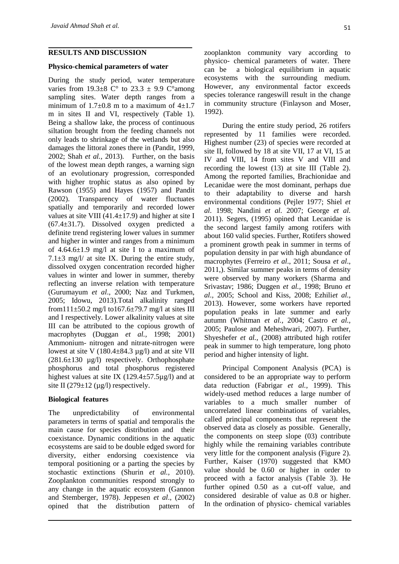#### **RESULTS AND DISCUSSION**

#### **Physico-chemical parameters of water**

During the study period, water temperature varies from  $19.3\pm8$  C° to  $23.3\pm9.9$  C° among sampling sites. Water depth ranges from a minimum of  $1.7\pm0.8$  m to a maximum of  $4\pm1.7$ m in sites II and VI, respectively (Table 1). Being a shallow lake, the process of continuous siltation brought from the feeding channels not only leads to shrinkage of the wetlands but also damages the littoral zones there in (Pandit, 1999, 2002; Shah *et al.,* 2013). Further, on the basis of the lowest mean depth ranges, a warning sign of an evolutionary progression, corresponded with higher trophic status as also opined by Rawson (1955) and Hayes (1957) and Pandit (2002). Transparency of water fluctuates spatially and temporarily and recorded lower values at site VIII (41.4 $\pm$ 17.9) and higher at site I (67.4±31.7). Dissolved oxygen predicted a definite trend registering lower values in summer and higher in winter and ranges from a minimum of  $4.64.6 \pm 1.9$  mg/l at site I to a maximum of 7.1 $\pm$ 3 mg/l/ at site IX. During the entire study, dissolved oxygen concentration recorded higher values in winter and lower in summer, thereby reflecting an inverse relation with temperature (Gurumayum *et al*., 2000; Naz and Turkmen, 2005; Idowu, 2013).Total alkalinity ranged from111 $\pm$ 50.2 mg/l to167.6 $\pm$ 79.7 mg/l at sites III and I respectively. Lower alkalinity values at site III can be attributed to the copious growth of macrophytes (Duggan *et al.,* 1998; 2001) Ammonium- nitrogen and nitrate-nitrogen were lowest at site V  $(180.4\pm84.3 \text{ µg/l})$  and at site VII  $(281.6\pm 130 \text{ µg/l})$  respectively. Orthophosphate phosphorus and total phosphorus registered highest values at site IX (129.4 $\pm$ 57.5µg/l) and at site II  $(279 \pm 12 \text{ (µg/l)}$  respectively.

#### **Biological features**

The unpredictability of environmental parameters in terms of spatial and temporalis the main cause for species distribution and their coexistance. Dynamic conditions in the aquatic ecosystems are said to be double edged sword for diversity, either endorsing coexistence via temporal positioning or a parting the species by stochastic extinctions (Shurin *et al.,* 2010). Zooplankton communities respond strongly to any change in the aquatic ecosystem (Gannon and Stemberger, 1978). Jeppesen *et al*., (2002) opined that the distribution pattern of zooplankton community vary according to physico- chemical parameters of water. There can be a biological equilibrium in aquatic ecosystems with the surrounding medium. However, any environmental factor exceeds species tolerance rangeswill result in the change in community structure (Finlayson and Moser, 1992).

During the entire study period, 26 rotifers represented by 11 families were recorded. Highest number (23) of species were recorded at site II, followed by 18 at site VII, 17 at VI, 15 at IV and VIII, 14 from sites V and VIII and recording the lowest (13) at site III (Table 2). Among the reported families, Brachionidae and Lecanidae were the most dominant, perhaps due to their adaptability to diverse and harsh environmental conditions (Pejler 1977; Shiel *et al.* 1998; Nandini *et al.* 2007; George *et al.* 2011). Segers, (1995) opined that Lecanidae is the second largest family among rotifers with about 160 valid species. Further, Rotifers showed a prominent growth peak in summer in terms of population density in par with high abundance of macrophytes (Ferreiro *et al*., 2011; Sousa *et al*., 2011,). Similar summer peaks in terms of density were observed by many workers (Sharma and Srivastav; 1986; Duggen *et al.,* 1998; Bruno *et al.,* 2005; School and Kiss, 2008; Ezhili*et al.,* 2013). However, some workers have reported population peaks in late summer and early autumn (Whitman *et al.,* 2004; Castro *et al.,* 2005; Paulose and Meheshwari, 2007). Further, Shyeshefer *et al.,* (2008) attributed high rotifer peak in summer to high temperature, long photo period and higher intensity of light.

Principal Component Analysis (PCA) is considered to be an appropriate way to perform data reduction (Fabrigar *et al.,* 1999). This widely-used method reduces a large number of variables to a much smaller number of uncorrelated linear combinations of variables, called principal components that represent the observed data as closely as possible. Generally, the components on steep slope (03) contribute highly while the remaining variables contribute very little for the component analysis (Figure 2). Further, Kaiser (1970) suggested that KMO value should be 0.60 or higher in order to proceed with a factor analysis (Table 3). He further opined 0.50 as a cut-off value, and considered desirable of value as 0.8 or higher. In the ordination of physico- chemical variables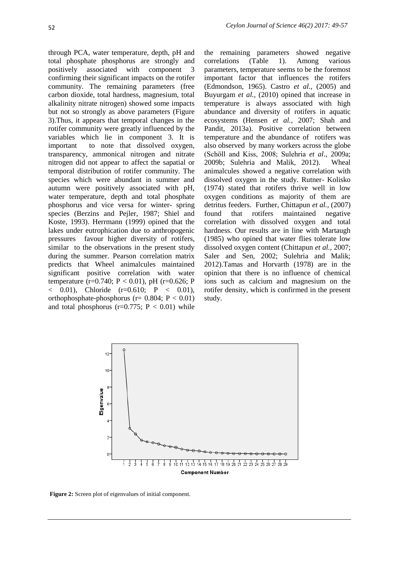through PCA, water temperature, depth, pH and total phosphate phosphorus are strongly and positively associated with component 3 confirming their significant impacts on the rotifer community. The remaining parameters (free carbon dioxide, total hardness, magnesium, total alkalinity nitrate nitrogen) showed some impacts but not so strongly as above parameters (Figure 3).Thus, it appears that temporal changes in the rotifer community were greatly influenced by the variables which lie in component 3. It is important to note that dissolved oxygen, transparency, ammonical nitrogen and nitrate nitrogen did not appear to affect the sapatial or temporal distribution of rotifer community. The species which were abundant in summer and autumn were positively associated with pH, water temperature, depth and total phosphate phosphorus and vice versa for winter- spring species (Berzins and Pejler, 1987; Shiel and Koste, 1993). Herrmann (1999) opined that the lakes under eutrophication due to anthropogenic pressures favour higher diversity of rotifers, similar to the observations in the present study during the summer. Pearson correlation matrix predicts that Wheel animalcules maintained significant positive correlation with water temperature (r=0.740; P < 0.01), pH (r=0.626; P  $($  0.01), Chloride (r=0.610; P  $($  0.01), orthophosphate-phosphorus ( $r= 0.804$ ;  $P < 0.01$ ) and total phosphorus ( $r=0.775$ ;  $P < 0.01$ ) while

the remaining parameters showed negative correlations (Table 1). Among various parameters, temperature seems to be the foremost important factor that influences the rotifers (Edmondson, 1965). Castro *et al.,* (2005) and Buyurgam *et al.,* (2010) opined that increase in temperature is always associated with high abundance and diversity of rotifers in aquatic ecosystems (Hensen *et al.,* 2007; Shah and Pandit, 2013a). Positive correlation between temperature and the abundance of rotifers was also observed by many workers across the globe (Schӧll and Kiss, 2008; Sulehria *et al*., 2009a; 2009b; Sulehria and Malik, 2012). Wheal animalcules showed a negative correlation with dissolved oxygen in the study. Rutner- Kolisko (1974) stated that rotifers thrive well in low oxygen conditions as majority of them are detritus feeders. Further, Chittapun *et al.,* (2007) found that rotifers maintained negative correlation with dissolved oxygen and total hardness. Our results are in line with Martaugh (1985) who opined that water flies tolerate low dissolved oxygen content (Chittapun *et al.,* 2007; Saler and Sen, 2002; Sulehria and Malik; 2012).Tamas and Horvarth (1978) are in the opinion that there is no influence of chemical ions such as calcium and magnesium on the rotifer density, which is confirmed in the present study.



**Figure 2:** Screen plot of eigenvalues of initial component.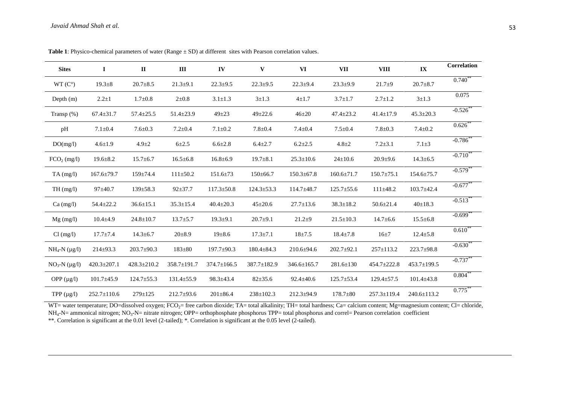| <b>Sites</b>          | $\bf{I}$          | $\mathbf{I}$      | Ш                | IV                | $\mathbf{V}$     | VI                | <b>VII</b>       | <b>VIII</b>       | IX                | Correlation            |
|-----------------------|-------------------|-------------------|------------------|-------------------|------------------|-------------------|------------------|-------------------|-------------------|------------------------|
| $WT(C^{\circ})$       | $19.3 \pm 8$      | $20.7 \pm 8.5$    | $21.3 \pm 9.1$   | $22.3 \pm 9.5$    | $22.3 \pm 9.5$   | $22.3 + 9.4$      | $23.3 \pm 9.9$   | $21.7+9$          | $20.7 \pm 8.7$    | $0.740^{**}$           |
| Depth $(m)$           | $2.2 \pm 1$       | $1.7 \pm 0.8$     | $2 \pm 0.8$      | $3.1 \pm 1.3$     | $3 \pm 1.3$      | $4 \pm 1.7$       | $3.7 \pm 1.7$    | $2.7 \pm 1.2$     | $3 \pm 1.3$       | 0.075                  |
| Transp $(\%)$         | $67.4 \pm 31.7$   | $57.4 \pm 25.5$   | $51.4 \pm 23.9$  | $49 + 23$         | $49 \pm 22.6$    | $46 + 20$         | $47.4 \pm 23.2$  | $41.4 \pm 17.9$   | $45.3 \pm 20.3$   | $-0.526$               |
| pH                    | $7.1 \pm 0.4$     | $7.6 \pm 0.3$     | $7.2 \pm 0.4$    | $7.1 \pm 0.2$     | $7.8 + 0.4$      | $7.4 \pm 0.4$     | $7.5 \pm 0.4$    | $7.8 \pm 0.3$     | $7.4 \pm 0.2$     | $0.626$ **             |
| DO(mg/l)              | $4.6 \pm 1.9$     | $4.9 \pm 2$       | $6 + 2.5$        | $6.6 \pm 2.8$     | $6.4 \pm 2.7$    | $6.2 \pm 2.5$     | $4.8 \pm 2$      | $7.2 \pm 3.1$     | $7.1 \pm 3$       | $-0.786$ **            |
| $FCO2$ (mg/l)         | $19.6 \pm 8.2$    | $15.7 \pm 6.7$    | $16.5 \pm 6.8$   | $16.8 \pm 6.9$    | $19.7 \pm 8.1$   | $25.3 \pm 10.6$   | $24 \pm 10.6$    | $20.9 \pm 9.6$    | $14.3 \pm 6.5$    | $-0.710$ **            |
| $TA$ (mg/l)           | $167.6 \pm 79.7$  | 159±74.4          | $111 \pm 50.2$   | $151.6 \pm 73$    | $150 \pm 66.7$   | $150.3 \pm 67.8$  | $160.6 \pm 71.7$ | $150.7 \pm 75.1$  | $154.6 \pm 75.7$  | $-0.579$ **            |
| TH(mg/l)              | $97 \pm 40.7$     | $139 \pm 58.3$    | $92 \pm 37.7$    | $117.3 \pm 50.8$  | $124.3 \pm 53.3$ | $114.7\pm48.7$    | $125.7 \pm 55.6$ | $111\pm48.2$      | $103.7 \pm 42.4$  | $-0.677$ **            |
| $Ca \, (mg/l)$        | $54.4 \pm 22.2$   | $36.6 \pm 15.1$   | $35.3 \pm 15.4$  | $40.4 \pm 20.3$   | $45 \pm 20.6$    | $27.7 \pm 13.6$   | $38.3 \pm 18.2$  | $50.6 \pm 21.4$   | $40 \pm 18.3$     | $-0.513$ **            |
| $Mg$ (mg/l)           | $10.4 \pm 4.9$    | $24.8 \pm 10.7$   | $13.7 \pm 5.7$   | $19.3 \pm 9.1$    | $20.7 + 9.1$     | $21.2+9$          | $21.5 \pm 10.3$  | $14.7 \pm 6.6$    | $15.5 \pm 6.8$    | $-0.699$ <sup>**</sup> |
| Cl (mg/l)             | $17.7 \pm 7.4$    | $14.3 \pm 6.7$    | $20 \pm 8.9$     | $19 \pm 8.6$      | $17.3 \pm 7.1$   | $18 + 7.5$        | $18.4 \pm 7.8$   | $16\pm7$          | $12.4 \pm 5.8$    | $0.610**$              |
| $NH_4-N$ (µg/l)       | $214 \pm 93.3$    | $203.7 \pm 90.3$  | $183 \pm 80$     | $197.7 \pm 90.3$  | $180.4 \pm 84.3$ | $210.6 \pm 94.6$  | $202.7 \pm 92.1$ | $257 \pm 113.2$   | 223.7±98.8        | $-0.630$               |
| $NO_3-N$ ( $\mu$ g/l) | $420.3 \pm 207.1$ | $428.3 \pm 210.2$ | 358.7±191.7      | $374.7 \pm 166.5$ | 387.7±182.9      | $346.6 \pm 165.7$ | $281.6 \pm 130$  | 454.7±222.8       | $453.7 \pm 199.5$ | $-0.737**$             |
| OPP $(\mu g/l)$       | $101.7 \pm 45.9$  | $124.7 \pm 55.3$  | $131.4 \pm 55.9$ | $98.3 \pm 43.4$   | $82 \pm 35.6$    | $92.4 \pm 40.6$   | $125.7 \pm 53.4$ | $129.4 \pm 57.5$  | $101.4 \pm 43.8$  | $0.804***$             |
| TPP $(\mu g/l)$       | $252.7 \pm 110.6$ | $279 \pm 125$     | $212.7 \pm 93.6$ | $201 \pm 86.4$    | $238 \pm 102.3$  | $212.3 \pm 94.9$  | $178.7 \pm 80$   | $257.3 \pm 119.4$ | $240.6 \pm 113.2$ | 0.775                  |

**Table 1**: Physico-chemical parameters of water (Range ± SD) at different sites with Pearson correlation values.

WT= water temperature; DO=dissolved oxygen;  $FCO<sub>2</sub>=$  free carbon dioxide; TA= total alkalinity; TH= total hardness; Ca= calcium content; Mg=magnesium content; Cl= chloride,  $NH_4$ -N= ammonical nitrogen;  $NO_3$ -N= nitrate nitrogen; OPP= orthophosphate phosphorus TPP= total phosphorus and correl= Pearson correlation coefficient \*\*. Correlation is significant at the 0.01 level (2-tailed); \*. Correlation is significant at the 0.05 level (2-tailed).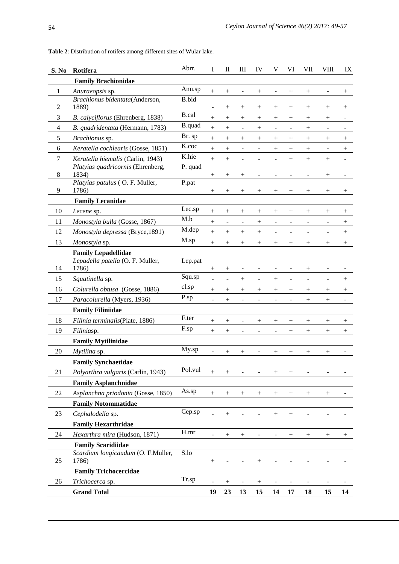| S. No          | Rotifera                                   | Abrr.         | $\bf I$                  | $\mathbf{I}$             | $\mathbf{III}$           | IV                       | V                            | VI                               | <b>VII</b>               | <b>VIII</b>              | IX                 |
|----------------|--------------------------------------------|---------------|--------------------------|--------------------------|--------------------------|--------------------------|------------------------------|----------------------------------|--------------------------|--------------------------|--------------------|
|                | <b>Family Brachionidae</b>                 |               |                          |                          |                          |                          |                              |                                  |                          |                          |                    |
| 1              | Anuraeopsis sp.                            | Anu.sp        | $^{+}$                   | $^{+}$                   |                          | $^{+}$                   |                              | $^{+}$                           | $^{+}$                   |                          | $^{+}$             |
|                | Brachionus bidentata(Anderson,             | <b>B.bid</b>  |                          |                          |                          |                          |                              |                                  |                          |                          |                    |
| 2              | 1889)                                      | <b>B.cal</b>  |                          | $^{+}$                   | $^+$                     | $\hspace{0.1mm} +$       | $^+$                         | $^+$                             | $^+$                     | $^{+}$                   | $^+$               |
| 3              | B. calyciflorus (Ehrenberg, 1838)          |               | $\! + \!$                | $^{+}$                   | $^{+}$                   | $^{+}$                   | $^{+}$                       | $\! +$                           | $^{+}$                   | $^{+}$                   | $\overline{a}$     |
| $\overline{4}$ | B. quadridentata (Hermann, 1783)           | <b>B.quad</b> | $\! + \!$                | $^{+}$                   | $\overline{\phantom{a}}$ | $^{+}$                   | $\qquad \qquad \blacksquare$ | $\overline{\phantom{a}}$         | $^{+}$                   |                          |                    |
| 5              | Brachionus sp.                             | Br. sp        | $^{+}$                   | $^{+}$                   | $\! +$                   | $^{+}$                   | $\! +$                       | $^{+}$                           | $^{+}$                   | $^{+}$                   | $^+$               |
| 6              | Keratella cochlearis (Gosse, 1851)         | K.coc         | $\! + \!$                |                          | $\overline{\phantom{a}}$ | $\blacksquare$           | $^{+}$                       | $^{+}$                           | $^{+}$                   | $\overline{a}$           | $\! + \!$          |
| $\tau$         | Keratella hiemalis (Carlin, 1943)          | K.hie         | $^{+}$                   | $^{+}$                   |                          |                          |                              | $^{+}$                           | $^{+}$                   | $\! +$                   |                    |
| 8              | Platyias quadricornis (Ehrenberg,<br>1834) | P. quad       |                          |                          |                          |                          |                              |                                  | $\overline{a}$           |                          |                    |
|                | Platyias patulus (O. F. Muller,            | P.pat         | $\! +$                   | $^{+}$                   | $^{+}$                   |                          |                              |                                  |                          | $^{+}$                   |                    |
| 9              | 1786)                                      |               | $\! +$                   | $\! +$                   | $\! +$                   | $^{+}$                   | $^{+}$                       | $\hspace{0.1mm} +\hspace{0.1mm}$ | $^{+}$                   | $^{+}$                   | $\hspace{0.1mm} +$ |
|                | <b>Family Lecanidae</b>                    |               |                          |                          |                          |                          |                              |                                  |                          |                          |                    |
| 10             | Lecene sp.                                 | Lec.sp        | $\! +$                   | $\! +$                   | $^{+}$                   | $^+$                     | $\! +$                       | $^+$                             | $^+$                     | $^{+}$                   | $^+$               |
| 11             | Monostyla bulla (Gosse, 1867)              | M.b           | $^{+}$                   | $\overline{\phantom{a}}$ | $\overline{\phantom{a}}$ | $^{+}$                   | $\overline{\phantom{a}}$     | $\overline{\phantom{a}}$         | $\overline{\phantom{a}}$ | $\overline{\phantom{0}}$ | $^+$               |
| 12             | Monostyla depressa (Bryce, 1891)           | M.dep         | $^{+}$                   | $^{+}$                   | $^{+}$                   | $^{+}$                   | $\overline{\phantom{a}}$     | ÷.                               | ٠                        |                          | $^{+}$             |
| 13             | Monostyla sp.                              | M.sp          | $^{+}$                   | $^{+}$                   |                          | $^{+}$                   | $^{+}$                       | $^{+}$                           | $^{+}$                   | $\! +$                   | $^{+}$             |
|                | <b>Family Lepadellidae</b>                 |               |                          |                          |                          |                          |                              |                                  |                          |                          |                    |
|                | Lepadella patella (O. F. Muller,           | Lep.pat       |                          |                          |                          |                          |                              |                                  |                          |                          |                    |
| 14             | 1786)                                      |               | $^{+}$                   |                          |                          |                          |                              |                                  | $^{+}$                   |                          |                    |
| 15             | Squatinella sp.                            | Squ.sp        | ÷,                       | $\blacksquare$           | $^{+}$                   | $\overline{\phantom{a}}$ | $^{+}$                       | $\overline{\phantom{a}}$         | $\overline{\phantom{a}}$ |                          | $^{+}$             |
| 16             | Colurella obtusa (Gosse, 1886)             | cl.sp         | $^{+}$                   |                          |                          | $\! +$                   | $^{+}$                       | $^{+}$                           | $^{+}$                   | $^{+}$                   | $\boldsymbol{+}$   |
| 17             | Paracolurella (Myers, 1936)                | P.sp          | ÷                        | $^{+}$                   | $\overline{a}$           |                          |                              |                                  | $^{+}$                   | $\! +$                   |                    |
|                | <b>Family Filiniidae</b>                   |               |                          |                          |                          |                          |                              |                                  |                          |                          |                    |
| 18             | Filinia terminalis(Plate, 1886)            | F.ter         | $^{+}$                   |                          |                          | $^{+}$                   | $^{+}$                       | $^+$                             | $\! +$                   | $^{+}$                   | $^+$               |
| 19             | Filiniasp.                                 | F.sp          | $\! + \!$                | $^{+}$                   | $\overline{\phantom{0}}$ |                          | ÷                            | $^{+}$                           | $^{+}$                   | $\boldsymbol{+}$         | $^{+}$             |
|                | <b>Family Mytilinidae</b>                  |               |                          |                          |                          |                          |                              |                                  |                          |                          |                    |
| 20             | Mytilina sp.                               | My.sp         | $\overline{a}$           | $\! +$                   | $\! +$                   |                          | $\! +$                       | $^+$                             | $^+$                     | $^{+}$                   |                    |
|                | <b>Family Synchaetidae</b>                 |               |                          |                          |                          |                          |                              |                                  |                          |                          |                    |
| 21             | Polyarthra vulgaris (Carlin, 1943)         | Pol.vul       | $^{+}$                   | $^{+}$                   |                          |                          | $^{+}$                       | $^{+}$                           |                          |                          |                    |
|                | <b>Family Asplanchnidae</b>                |               |                          |                          |                          |                          |                              |                                  |                          |                          |                    |
| 22             | Asplanchna priodonta (Gosse, 1850)         | As.sp         | $\! + \!$                | $\! +$                   | $^{+}$                   | $\! +$                   | $^{+}$                       | $^{+}$                           |                          | $\! +$                   |                    |
|                | <b>Family Notommatidae</b>                 |               |                          |                          |                          |                          |                              |                                  |                          |                          |                    |
| 23             | Cephalodella sp.                           | Cep.sp        | $\overline{a}$           | $\! + \!$                |                          |                          | $^{+}$                       | $^{+}$                           |                          |                          |                    |
|                | <b>Family Hexarthridae</b>                 |               |                          |                          |                          |                          |                              |                                  |                          |                          |                    |
| 24             | Hexarthra mira (Hudson, 1871)              | H.mr          | ÷,                       | $^{+}$                   | $^{+}$                   |                          |                              | $^+$                             | $^{+}$                   | $^{+}$                   | $^+$               |
|                | <b>Family Scaridiidae</b>                  |               |                          |                          |                          |                          |                              |                                  |                          |                          |                    |
|                | Scardium longicaudum (O. F.Muller,         | S.lo          |                          |                          |                          |                          |                              |                                  |                          |                          |                    |
| 25             | 1786)                                      |               | $^{+}$                   |                          |                          |                          |                              |                                  |                          |                          |                    |
|                | <b>Family Trichocercidae</b>               |               |                          |                          |                          |                          |                              |                                  |                          |                          |                    |
| 26             | Trichocerca sp.                            | Tr.sp         | $\overline{\phantom{0}}$ | $^{+}$                   |                          |                          |                              |                                  |                          |                          |                    |
|                | <b>Grand Total</b>                         |               | 19                       | 23                       | 13                       | 15                       | 14                           | 17                               | 18                       | 15                       | 14                 |

**Table 2**: Distribution of rotifers among different sites of Wular lake.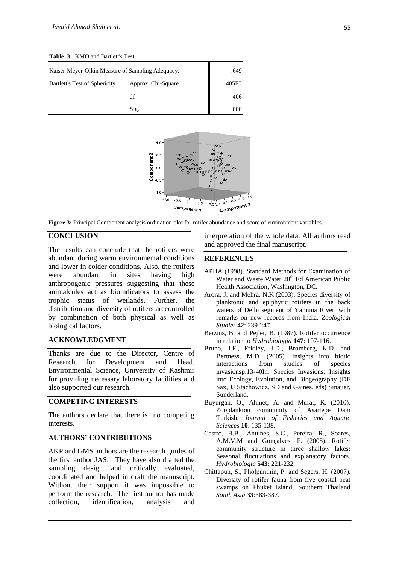**Table 3:** KMO and Bartlett's Test.

| Kaiser-Meyer-Olkin Measure of Sampling Adequacy. | .649               |         |
|--------------------------------------------------|--------------------|---------|
| Bartlett's Test of Sphericity                    | Approx. Chi-Square | 1.405E3 |
|                                                  | df                 | 406     |
|                                                  | Sig.               | ooc     |



**Figure 3:** Principal Component analysis ordination plot for rotifer abundance and score of environment variables.

## **CONCLUSION**

The results can conclude that the rotifers were abundant during warm environmental conditions and lower in colder conditions. Also, the rotifers were abundant in sites having high anthropogenic pressures suggesting that these animalcules act as bioindicators to assess the trophic status of wetlands. Further, the distribution and diversity of rotifers arecontrolled by combination of both physical as well as biological factors.

### **ACKNOWLEDGMENT**

Thanks are due to the Director, Centre of Research for Development and Head, Environmental Science, University of Kashmir for providing necessary laboratory facilities and also supported our research.

## **COMPETING INTERESTS**

The authors declare that there is no competing interests.

## **AUTHORS' CONTRIBUTIONS**

AKP and GMS authors are the research guides of the first author JAS. They have also drafted the sampling design and critically evaluated, coordinated and helped in draft the manuscript. Without their support it was impossible to perform the research. The first author has made collection, identification, analysis and interpretation of the whole data. All authors read and approved the final manuscript.

#### **REFERENCES**

- APHA (1998). Standard Methods for Examination of Water and Waste Water  $20<sup>th</sup>$  Ed American Public Health Association, Washington, DC.
- Arora, J. and Mehra, N.K (2003). Species diversity of planktonic and epiphytic rotifers in the back waters of Delhi segment of Yamuna River, with remarks on new records from India. *Zoological Studies* **42**: 239-247.
- Berzins, B. and Pejler, B. (1987). Rotifer occurrence in relation to *Hydrobiologia* **147**: 107-116.
- Bruno, J.F., Fridley, J.D., Bromberg, K.D. and Bertness, M.D. (2005). Insights into biotic interactions from studies of species invasionsp.13-40In: Species Invasions: Insights into Ecology, Evolution, and Biogeography (DF Sax, JJ Stachowicz, SD and Gaines, eds) Sinauer, Sunderland.
- Buyurgan, O., Ahmet, A. and Murat, K. (2010). Zooplankton community of Asartepe Dam Turkish. *Journal of Fisheries and Aquatic Sciences* **10**: 135-138.
- Castro, B.B., Antunes, S.C., Pereira, R., Soares, A.M.V.M and Gonçalves, F. (2005). Rotifer community structure in three shallow lakes: Seasonal fluctuations and explanatory factors. *Hydrobiologia* **543**: 221-232.
- Chittapun, S., Pholpunthin, P. and Segers, H. (2007). Diversity of rotifer fauna from five coastal peat swamps on Phuket Island, Southern Thailand *South Asia* **33**:383-387.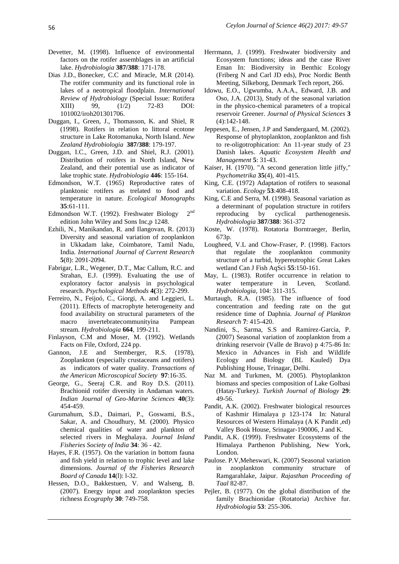- Devetter, M. (1998). Influence of environmental factors on the rotifer assemblages in an artificial lake. *Hydrobiologia* **387/388**: 171-178.
- Dias J.D., Bonecker, C.C and Miracle, M.R (2014). The rotifer community and its functional role in lakes of a neotropical floodplain. *International Review of Hydrobiology* (Special Issue: Rotifera XIII) 99, (1/2) 72-83 DOI: 101002/iroh201301706.
- Duggan, I., Green, J., Thomasson, K. and Shiel, R (1998). Rotifers in relation to littoral ecotone structure in Lake Rotomanuka, North Island. *New Zealand Hydrobiologia* **387/388**: 179-197.
- Duggan, I.C., Green, J.D. and Shiel, R.J. (2001). Distribution of rotifers in North Island, New Zealand, and their potential use as indicator of lake trophic state. *Hydrobiologia* **446**: 155-164.
- Edmondson, W.T. (1965) Reproductive rates of planktonic rotifers as trelated to food and temperature in nature. *Ecological Monographs* **35**:61-111.
- Edmondson W.T. (1992). Freshwater Biology 2  $2^{nd}$ edition John Wiley and Sons Inc,p 1248.
- Ezhili, N., Manikandan, R. and Ilangovan, R. (2013) Diversity and seasonal variation of zooplankton in Ukkadam lake, Coimbatore, Tamil Nadu, India. *International Journal of Current Research* **5**(8): 2091-2094.
- Fabrigar, L.R., Wegener, D.T., Mac Callum, R.C. and Strahan, E.J. (1999). Evaluating the use of exploratory factor analysis in psychological research. *Psychological Methods* **4(**3): 272-299.
- Ferreiro, N., Feijoó, C., Giorgi, A. and Leggieri, L. (2011). Effects of macrophyte heterogeneity and food availability on structural parameters of the macro invertebratecommunityina Pampean stream. *Hydrobiologia* **664**, 199-211.
- Finlayson, C.M and Moser, M. (1992). Wetlands Facts on File, Oxford, 224 pp.
- Gannon, J.E and Stemberger, R.S. (1978), Zooplankton (especially crustaceans and rotifers) as indicators of water quality. *Transactions of the American Microscopical Society* **97**:16-35.
- George, G., Seeraj C.R. and Roy D.S. (2011). Brachionid rotifer diversity in Andaman waters. *Indian Journal of Geo-Marine Sciences* **40**(3): 454-459.
- Gurumahum, S.D., Daimari, P., Goswami, B.S., Sakar, A. and Choudhury, M. (2000). Physico chemical qualities of water and plankton of selected rivers in Meghalaya. *Journal Inland Fisheries Society of India* **34**: 36 - 42.
- Hayes, F.R. (1957). On the variation in bottom fauna and fish yield in relation to trophic level and lake dimensions. *Journal of the Fisheries Research Board of Canada* **14**(l): l-32.
- Hessen, D.O., Bakkestuen, V. and Walseng, B. (2007). Energy input and zooplankton species richness *Ecography* **30**: 749-758.
- Herrmann, J. (1999). Freshwater biodiversity and Ecosystem functions; ideas and the case River Eman In: Biodiversity in Benthic Ecology (Friberg N and Carl JD eds), Proc Nordic Benth Meeting, Silkeborg, Denmark Tech report, 266.
- Idowu, E.O., Ugwumba, A.A.A., Edward, J.B. and Oso, J.A. (2013), Study of the seasonal variation in the physico-chemical parameters of a tropical reservoir Greener. *Journal of Physical Sciences* **3** (4):142-148.
- Jeppesen, E., Jensen, J.P and Søndergaard, M. (2002). Response of phytoplankton, zooplankton and fish to re-oligotrophication: An 11-year study of 23 Danish lakes. *Aquatic Ecosystem Health and Management* **5**: 31-43.
- Kaiser, H. (1970). "A second generation little jiffy," *Psychometrika* **35**(4), 401-415.
- King, C.E. (1972) Adaptation of rotifers to seasonal variation. *Ecology* **53**:408-418.
- King, C.E and Serra, M. (1998). Seasonal variation as a determinant of population structure in rotifers reproducing by cyclical parthenogenesis. *Hydrobiologia* **387/388**: 361-372
- Koste, W. (1978). Rotatoria Borntraeger, Berlin, 673p.
- Lougheed, V.L and Chow-Fraser, P. (1998). Factors that regulate the zooplankton community structure of a turbid, hypereutrophic Great Lakes wetland Can J Fish AqSci **55**:150-161.
- May, L. (1983). Rotifer occurrence in relation to water temperature in Leven. Scotland. *Hydrobiologia*, 104: 311-315.
- Murtaugh, R.A. (1985). The influence of food concentration and feeding rate on the gut residence time of Daphnia*. Journal of Plankton Research* **7**: 415-420.
- Nandini, S., Sarma, S.S and Ramirez-Garcia, P. (2007) Seasonal variation of zooplankton from a drinking reservoir (Valle de Bravo) p 4:75-86 In: Mexico in Advances in Fish and Wildlife Ecology and Biology (BL Kauled) Dya Publishing House, Trinagar, Delhi.
- Naz M. and Turkmen, M. (2005). Phytoplankton biomass and species composition of Lake Golbasi (Hatay-Turkey*). Turkish Journal of Biology* **29**: 49-56.
- Pandit, A.K. (2002). Freshwater biological resources of Kashmir Himalaya p 123-174 In: Natural Resources of Western Himalaya (A K Pandit ,ed) Valley Book House, Srinagar-190006, J and K.
- Pandit, A.K. (1999). Freshwater Ecosystems of the Himalaya Parthenon Publishing, New York, London.
- Paulose. P.V,Meheswari, K. (2007) Seasonal variation in zooplankton community structure of Ramgarahlake, Jaipur. *Rajasthan Proceeding of Taal* 82-87.
- Pejler, B. (1977). On the global distribution of the family Brachionidae (Rotatoria) Archive fur. *Hydrobiologia* **53**: 255-306.